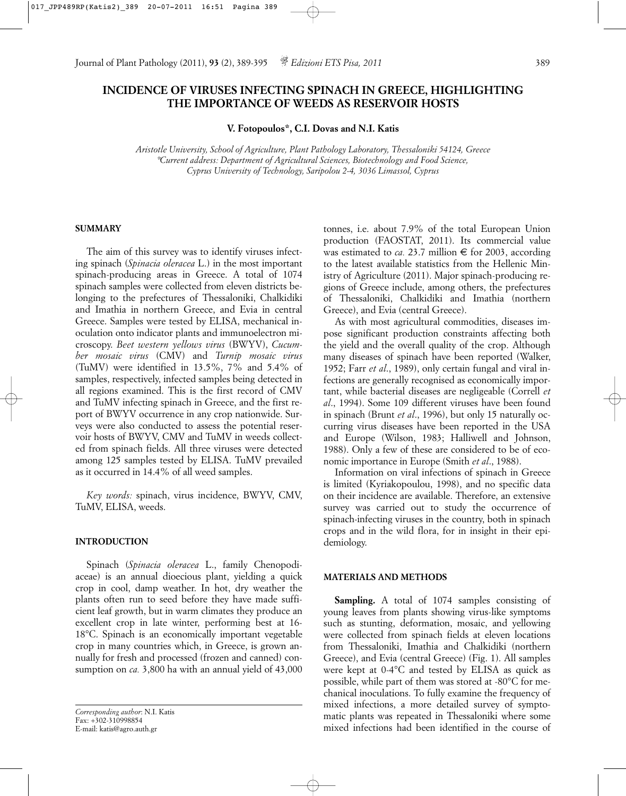# **INCIDENCE OF VIRUSES INFECTING SPINACH IN GREECE, HIGHLIGHTING THE IMPORTANCE OF WEEDS AS RESERVOIR HOSTS**

**V. Fotopoulos\*, C.I. Dovas and N.I. Katis**

*Aristotle University, School of Agriculture, Plant Pathology Laboratory, Thessaloniki 54124, Greece \*Current address: Department of Agricultural Sciences, Biotechnology and Food Science, Cyprus University of Technology, Saripolou 2-4, 3036 Limassol, Cyprus*

# **SUMMARY**

The aim of this survey was to identify viruses infecting spinach (*Spinacia oleracea* L.) in the most important spinach-producing areas in Greece. A total of 1074 spinach samples were collected from eleven districts belonging to the prefectures of Thessaloniki, Chalkidiki and Imathia in northern Greece, and Evia in central Greece. Samples were tested by ELISA, mechanical inoculation onto indicator plants and immunoelectron microscopy. *Beet western yellows virus* (BWYV), *Cucumber mosaic virus* (CMV) and *Turnip mosaic virus* (TuMV) were identified in 13.5%, 7% and 5.4% of samples, respectively, infected samples being detected in all regions examined. This is the first record of CMV and TuMV infecting spinach in Greece, and the first report of BWYV occurrence in any crop nationwide. Surveys were also conducted to assess the potential reservoir hosts of BWYV, CMV and TuMV in weeds collected from spinach fields. All three viruses were detected among 125 samples tested by ELISA. TuMV prevailed as it occurred in 14.4% of all weed samples.

*Key words:* spinach, virus incidence, BWYV, CMV, TuMV, ELISA, weeds.

## **INTRODUCTION**

Spinach (*Spinacia oleracea* L., family Chenopodiaceae) is an annual dioecious plant, yielding a quick crop in cool, damp weather. In hot, dry weather the plants often run to seed before they have made sufficient leaf growth, but in warm climates they produce an excellent crop in late winter, performing best at 16- 18°C. Spinach is an economically important vegetable crop in many countries which, in Greece, is grown annually for fresh and processed (frozen and canned) consumption on *ca.* 3,800 ha with an annual yield of 43,000

*Corresponding author*: N.I. Katis Fax: +302-310998854 E-mail: katis@agro.auth.gr

tonnes, i.e. about 7.9% of the total European Union production (FAOSTAT, 2011). Its commercial value was estimated to *ca.* 23.7 million  $\epsilon$  for 2003, according to the latest available statistics from the Hellenic Ministry of Agriculture (2011). Major spinach-producing regions of Greece include, among others, the prefectures of Thessaloniki, Chalkidiki and Imathia (northern Greece), and Evia (central Greece).

As with most agricultural commodities, diseases impose significant production constraints affecting both the yield and the overall quality of the crop. Although many diseases of spinach have been reported (Walker, 1952; Farr *et al*., 1989), only certain fungal and viral infections are generally recognised as economically important, while bacterial diseases are negligeable (Correll *et al*., 1994). Some 109 different viruses have been found in spinach (Brunt *et al*., 1996), but only 15 naturally occurring virus diseases have been reported in the USA and Europe (Wilson, 1983; Halliwell and Johnson, 1988). Only a few of these are considered to be of economic importance in Europe (Smith *et al*., 1988).

Information on viral infections of spinach in Greece is limited (Kyriakopoulou, 1998), and no specific data on their incidence are available. Therefore, an extensive survey was carried out to study the occurrence of spinach*-*infecting viruses in the country, both in spinach crops and in the wild flora, for in insight in their epidemiology.

#### **MATERIALS AND METHODS**

**Sampling.** A total of 1074 samples consisting of young leaves from plants showing virus-like symptoms such as stunting, deformation, mosaic, and yellowing were collected from spinach fields at eleven locations from Thessaloniki, Imathia and Chalkidiki (northern Greece), and Evia (central Greece) (Fig. 1). All samples were kept at 0-4°C and tested by ELISA as quick as possible, while part of them was stored at -80°C for mechanical inoculations. To fully examine the frequency of mixed infections, a more detailed survey of symptomatic plants was repeated in Thessaloniki where some mixed infections had been identified in the course of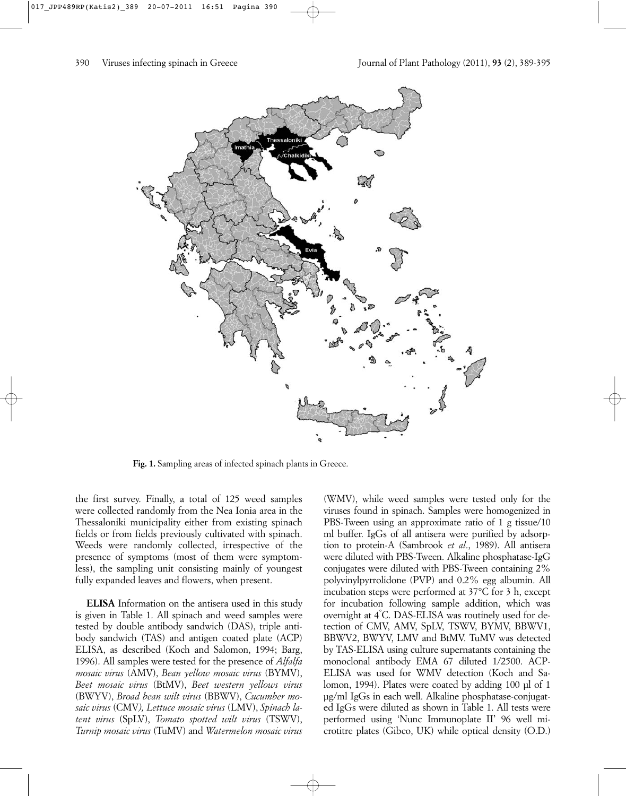

Fig. 1. Sampling areas of infected spinach plants in Greece.

the first survey. Finally, a total of 125 weed samples were collected randomly from the Nea Ionia area in the Thessaloniki municipality either from existing spinach fields or from fields previously cultivated with spinach. Weeds were randomly collected, irrespective of the presence of symptoms (most of them were symptomless), the sampling unit consisting mainly of youngest fully expanded leaves and flowers, when present.

**ELISA** Information on the antisera used in this study is given in Table 1. All spinach and weed samples were tested by double antibody sandwich (DAS), triple antibody sandwich (TAS) and antigen coated plate (ACP) ELISA, as described (Koch and Salomon, 1994; Barg, 1996). All samples were tested for the presence of *Alfalfa mosaic virus* (AMV), *Bean yellow mosaic virus* (BYMV), *Beet mosaic virus* (BtMV), *Beet western yellows virus* (BWYV), *Broad bean wilt virus* (BBWV), *Cucumber mosaic virus* (CMV*), Lettuce mosaic virus* (LMV), *Spinach latent virus* (SpLV), *Tomato spotted wilt virus* (TSWV), *Turnip mosaic virus* (TuMV) and *Watermelon mosaic virus*

(WMV), while weed samples were tested only for the viruses found in spinach. Samples were homogenized in PBS-Tween using an approximate ratio of 1 g tissue/10 ml buffer. IgGs of all antisera were purified by adsorption to protein-A (Sambrook *et al*., 1989). All antisera were diluted with PBS-Tween. Alkaline phosphatase-IgG conjugates were diluted with PBS-Tween containing 2% polyvinylpyrrolidone (PVP) and 0.2% egg albumin. All incubation steps were performed at 37°C for 3 h, except for incubation following sample addition, which was overnight at 4° C. DAS-ELISA was routinely used for detection of CMV, AMV, SpLV, TSWV, BYMV, BBWV1, BBWV2, BWYV, LMV and BtMV. TuMV was detected by TAS-ELISA using culture supernatants containing the monoclonal antibody EMA 67 diluted 1/2500. ACP-ELISA was used for WMV detection (Koch and Salomon, 1994). Plates were coated by adding 100 µl of 1 µg/ml IgGs in each well. Alkaline phosphatase-conjugated IgGs were diluted as shown in Table 1. All tests were performed using 'Nunc Immunoplate II' 96 well microtitre plates (Gibco, UK) while optical density (O.D.)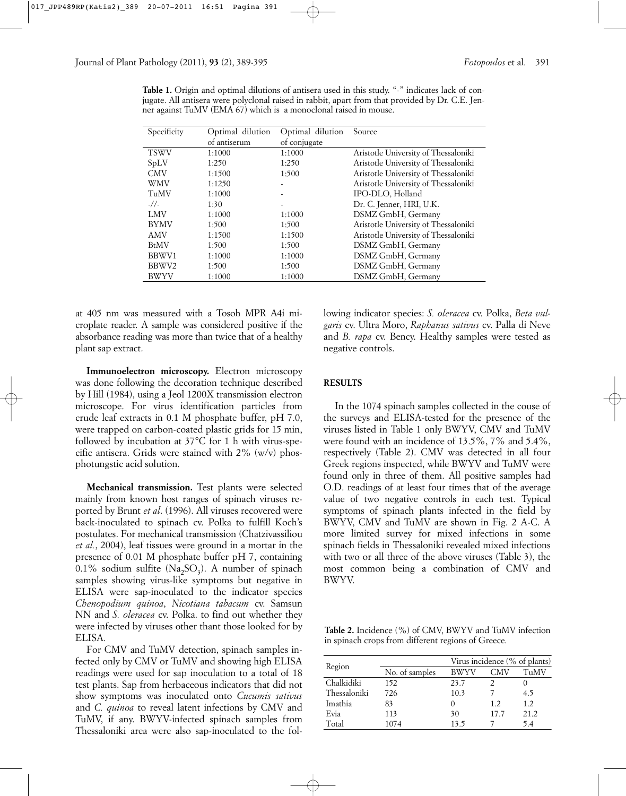**Table 1.** Origin and optimal dilutions of antisera used in this study. "-" indicates lack of conjugate. All antisera were polyclonal raised in rabbit, apart from that provided by Dr. C.E. Jenner against TuMV (EMA 67) which is a monoclonal raised in mouse.

| Specificity | Optimal dilution | Optimal dilution | Source                               |
|-------------|------------------|------------------|--------------------------------------|
|             | of antiserum     | of conjugate     |                                      |
| <b>TSWV</b> | 1:1000           | 1:1000           | Aristotle University of Thessaloniki |
| SpLV        | 1:250            | 1:250            | Aristotle University of Thessaloniki |
| <b>CMV</b>  | 1:1500           | 1:500            | Aristotle University of Thessaloniki |
| <b>WMV</b>  | 1:1250           |                  | Aristotle University of Thessaloniki |
| TuMV        | 1:1000           |                  | IPO-DLO, Holland                     |
| $-1/$       | 1:30             |                  | Dr. C. Jenner, HRI, U.K.             |
| <b>LMV</b>  | 1:1000           | 1:1000           | DSMZ GmbH, Germany                   |
| <b>BYMV</b> | 1:500            | 1:500            | Aristotle University of Thessaloniki |
| AMV         | 1:1500           | 1:1500           | Aristotle University of Thessaloniki |
| <b>BtMV</b> | 1:500            | 1:500            | DSMZ GmbH, Germany                   |
| BBWV1       | 1:1000           | 1:1000           | DSMZ GmbH, Germany                   |
| BBWV2       | 1:500            | 1:500            | DSMZ GmbH, Germany                   |
| BWYV        | 1:1000           | 1:1000           | DSMZ GmbH, Germany                   |

at 405 nm was measured with a Tosoh MPR A4i microplate reader. A sample was considered positive if the absorbance reading was more than twice that of a healthy plant sap extract.

**Immunoelectron microscopy.** Electron microscopy was done following the decoration technique described by Hill (1984), using a Jeol 1200X transmission electron microscope. For virus identification particles from crude leaf extracts in 0.1 M phosphate buffer, pH 7.0, were trapped on carbon-coated plastic grids for 15 min, followed by incubation at 37°C for 1 h with virus-specific antisera. Grids were stained with  $2\%$  (w/v) phosphotungstic acid solution.

**Mechanical transmission.** Test plants were selected mainly from known host ranges of spinach viruses reported by Brunt *et al*. (1996). All viruses recovered were back-inoculated to spinach cv. Polka to fulfill Koch's postulates. For mechanical transmission (Chatzivassiliou *et al.*, 2004), leaf tissues were ground in a mortar in the presence of 0.01 M phosphate buffer pH 7, containing 0.1% sodium sulfite  $(Na_2SO_3)$ . A number of spinach samples showing virus-like symptoms but negative in ELISA were sap-inoculated to the indicator species *Chenopodium quinoa*, *Nicotiana tabacum* cv. Samsun NN and *S. oleracea* cv. Polka. to find out whether they were infected by viruses other thant those looked for by ELISA.

For CMV and TuMV detection, spinach samples infected only by CMV or TuMV and showing high ELISA readings were used for sap inoculation to a total of 18 test plants. Sap from herbaceous indicators that did not show symptoms was inoculated onto *Cucumis sativus* and *C. quinoa* to reveal latent infections by CMV and TuMV, if any. BWYV-infected spinach samples from Thessaloniki area were also sap-inoculated to the following indicator species: *S. oleracea* cv. Polka, *Beta vulgaris* cv. Ultra Moro, *Raphanus sativus* cv. Palla di Neve and *B. rapa* cv. Bency. Healthy samples were tested as negative controls.

# **RESULTS**

In the 1074 spinach samples collected in the couse of the surveys and ELISA-tested for the presence of the viruses listed in Table 1 only BWYV, CMV and TuMV were found with an incidence of 13.5%, 7% and 5.4%, respectively (Table 2). CMV was detected in all four Greek regions inspected, while BWYV and TuMV were found only in three of them. All positive samples had O.D. readings of at least four times that of the average value of two negative controls in each test. Typical symptoms of spinach plants infected in the field by BWYV, CMV and TuMV are shown in Fig. 2 A-C. A more limited survey for mixed infections in some spinach fields in Thessaloniki revealed mixed infections with two or all three of the above viruses (Table 3), the most common being a combination of CMV and BWYV.

**Table 2.** Incidence (%) of CMV, BWYV and TuMV infection in spinach crops from different regions of Greece.

|              |                | Virus incidence (% of plants) |      |      |
|--------------|----------------|-------------------------------|------|------|
| Region       | No. of samples | BWYV                          | CMV  | TuMV |
| Chalkidiki   | 152            | 23.7                          |      |      |
| Thessaloniki | 726            | 10.3                          |      | 4.5  |
| Imathia      | 83             | $\theta$                      | 1.2  | 1.2  |
| Evia         | 113            | 30                            | 17.7 | 21.2 |
| Total        | 1074           | 13.5                          |      | 5.4  |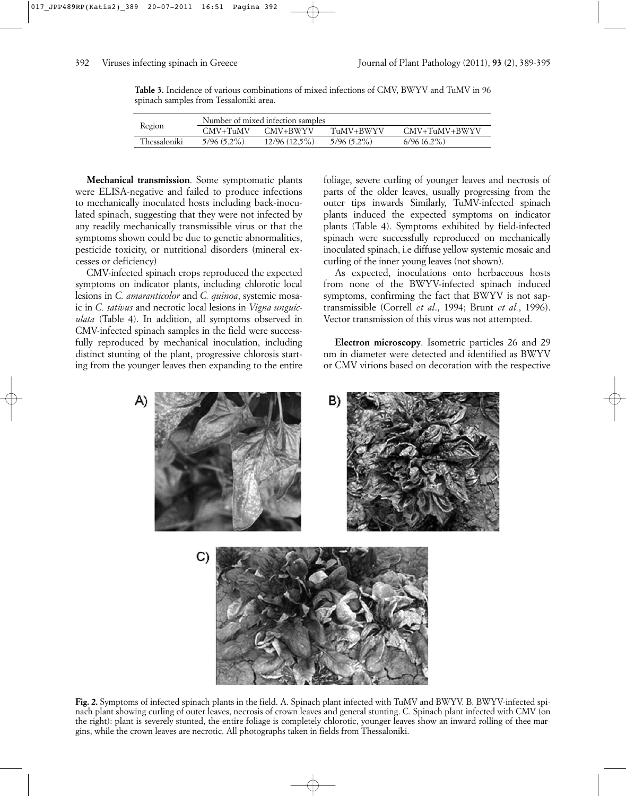**Table 3.** Incidence of various combinations of mixed infections of CMV, BWYV and TuMV in 96 spinach samples from Tessaloniki area.

| Region       | Number of mixed infection samples |                 |               |               |
|--------------|-----------------------------------|-----------------|---------------|---------------|
|              | $CMV+TuMV$                        | CMV+BWYV        | TuMV+BWYV     | CMV+TuMV+BWYV |
| Thessaloniki | $5/96(5.2\%)$                     | $12/96(12.5\%)$ | $5/96(5.2\%)$ | $6/96(6.2\%)$ |

**Mechanical transmission**. Some symptomatic plants were ELISA-negative and failed to produce infections to mechanically inoculated hosts including back-inoculated spinach, suggesting that they were not infected by any readily mechanically transmissible virus or that the symptoms shown could be due to genetic abnormalities, pesticide toxicity, or nutritional disorders (mineral excesses or deficiency)

CMV-infected spinach crops reproduced the expected symptoms on indicator plants, including chlorotic local lesions in *C. amaranticolor* and *C. quinoa*, systemic mosaic in *C. sativus* and necrotic local lesions in *Vigna unguiculata* (Table 4). In addition, all symptoms observed in CMV-infected spinach samples in the field were successfully reproduced by mechanical inoculation, including distinct stunting of the plant, progressive chlorosis starting from the younger leaves then expanding to the entire foliage, severe curling of younger leaves and necrosis of parts of the older leaves, usually progressing from the outer tips inwards Similarly, TuMV-infected spinach plants induced the expected symptoms on indicator plants (Table 4). Symptoms exhibited by field-infected spinach were successfully reproduced on mechanically inoculated spinach, i.e diffuse yellow systemic mosaic and curling of the inner young leaves (not shown).

As expected, inoculations onto herbaceous hosts from none of the BWYV-infected spinach induced symptoms, confirming the fact that BWYV is not saptransmissible (Correll *et al*., 1994; Brunt *et al.*, 1996). Vector transmission of this virus was not attempted.

**Electron microscopy**. Isometric particles 26 and 29 nm in diameter were detected and identified as BWYV or CMV virions based on decoration with the respective

![](_page_3_Picture_9.jpeg)

**Fig. 2.** Symptoms of infected spinach plants in the field. A. Spinach plant infected with TuMV and BWYV. B. BWYV-infected spinach plant showing curling of outer leaves, necrosis of crown leaves and general stunting. C. Spinach plant infected with CMV (on the right): plant is severely stunted, the entire foliage is completely chlorotic, younger leaves show an inward rolling of thee margins, while the crown leaves are necrotic. All photographs taken in fields from Thessaloniki.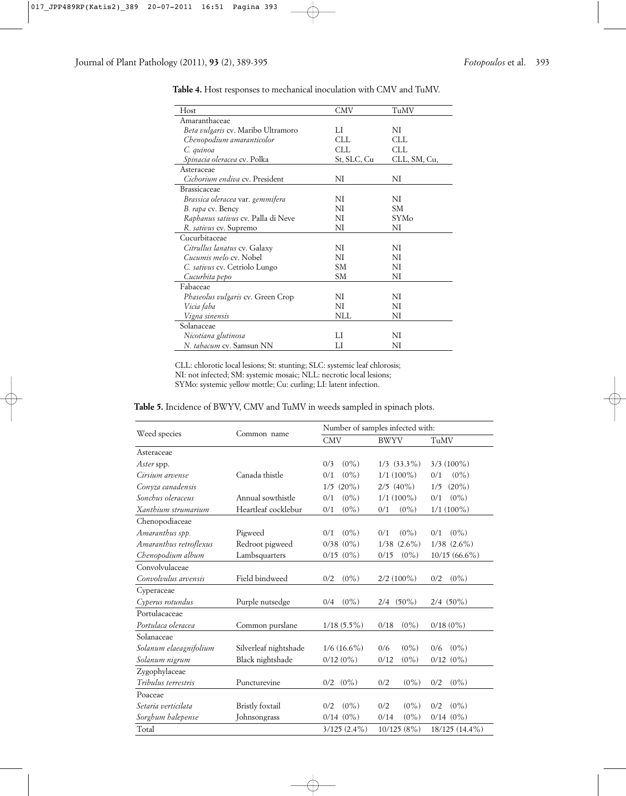| Host                               | CMV         | TuMV         |
|------------------------------------|-------------|--------------|
| Amaranthaceae                      |             |              |
| Beta vulgaris cv. Maribo Ultramoro | LI          | NI           |
| Chenopodium amaranticolor          | <b>CLL</b>  | <b>CLL</b>   |
| C. quinoa                          | CLL.        | CLL.         |
| <i>Spinacia oleracea</i> cv. Polka | St, SLC, Cu | CLL, SM, Cu, |
| Asteraceae                         |             |              |
| Cichorium endiva cv. President     | ΝI          | NI           |
| <b>Brassicaceae</b>                |             |              |
| Brassica oleracea var. gemmifera   | NI          | NI           |
| B. rapa cv. Bency                  | NI          | SM.          |
| Raphanus sativus cv. Palla di Neve | NI          | <b>SYMo</b>  |
| R. sativus cv. Supremo             | NI          | NI           |
| Cucurbitaceae                      |             |              |
| Citrullus lanatus cv. Galaxy       | NI          | NI           |
| Cucumis melo cv. Nobel             | NI          | NI           |
| C. sativus cv. Cetriolo Lungo      | SM          | NI           |
| Cucurbita pepo                     | SM          | NI           |
| Fabaceae                           |             |              |
| Phaseolus vulgaris cv. Green Crop  | NI          | NI           |
| Vicia faba                         | NI          | NI           |
| Vigna sinensis                     | NLL         | NI           |
| Solanaceae                         |             |              |
| Nicotiana glutinosa                | LI          | NI           |
| N. tabacum cv. Samsun NN           | LI          | NI           |

**Table 4.** Host responses to mechanical inoculation with CMV and TuMV.

CLL: chlorotic local lesions; St: stunting; SLC: systemic leaf chlorosis; NI: not infected; SM: systemic mosaic; NLL: necrotic local lesions; SYMo: systemic yellow mottle; Cu: curling; LI: latent infection.

**Table 5.** Incidence of BWYV, CMV and TuMV in weeds sampled in spinach plots.

|                        | Common name           | Number of samples infected with: |                   |                  |  |
|------------------------|-----------------------|----------------------------------|-------------------|------------------|--|
| Weed species           |                       | <b>CMV</b>                       | <b>BWYV</b>       | TuMV             |  |
| Asteraceae             |                       |                                  |                   |                  |  |
| <i>Aster</i> spp.      |                       | $(0\%)$<br>0/3                   | $1/3$ $(33.3\%)$  | $3/3$ (100%)     |  |
| Cirsium arvense        | Canada thistle        | $(0\%)$<br>0/1                   | $1/1(100\%)$      | $(0\%)$<br>0/1   |  |
| Conyza canadensis      |                       | $(20\%)$<br>1/5                  | $2/5$ (40%)       | $(20\%)$<br>1/5  |  |
| Sonchus oleraceus      | Annual sowthistle     | $(0\%)$<br>0/1                   | $1/1(100\%)$      | $(0\%)$<br>0/1   |  |
| Xanthium strumarium    | Heartleaf cocklebur   | 0/1<br>$(0\%)$                   | 0/1<br>$(0\%)$    | $1/1$ (100%)     |  |
| Chenopodiaceae         |                       |                                  |                   |                  |  |
| Amaranthus spp.        | Pigweed               | $(0\%)$<br>0/1                   | $(0\%)$<br>0/1    | $(0\%)$<br>0/1   |  |
| Amaranthus retroflexus | Redroot pigweed       | $0/38$ $(0\%)$                   | $(2.6\%)$<br>1/38 | $1/38$ $(2.6\%)$ |  |
| Chenopodium album      | Lambsquarters         | $0/15$ $(0\%)$                   | $(0\%)$<br>0/15   | $10/15(66.6\%)$  |  |
| Convolvulaceae         |                       |                                  |                   |                  |  |
| Convolvulus arvensis   | Field bindweed        | $(0\%)$<br>0/2                   | $2/2$ (100%)      | $(0\%)$<br>0/2   |  |
| Cyperaceae             |                       |                                  |                   |                  |  |
| Cyperus rotundus       | Purple nutsedge       | $(0\%)$<br>0/4                   | $(50\%)$<br>2/4   | $2/4$ (50%)      |  |
| Portulacaceae          |                       |                                  |                   |                  |  |
| Portulaca oleracea     | Common purslane       | $1/18$ (5.5%)                    | 0/18<br>$(0\%)$   | 0/18(0%)         |  |
| Solanaceae             |                       |                                  |                   |                  |  |
| Solanum elaeagnifolium | Silverleaf nightshade | $1/6(16.6\%)$                    | 0/6<br>$(0\%)$    | $(0\%)$<br>0/6   |  |
| Solanum nigrum         | Black nightshade      | 0/12(0%)                         | 0/12<br>$(0\%)$   | $0/12$ $(0\%)$   |  |
| Zygophylaceae          |                       |                                  |                   |                  |  |
| Tribulus terrestris    | Puncturevine          | $(0\%)$<br>0/2                   | $(0\%)$<br>0/2    | $(0\%)$<br>0/2   |  |
| Poaceae                |                       |                                  |                   |                  |  |
| Setaria verticilata    | Bristly foxtail       | $(0\%)$<br>0/2                   | 0/2<br>$(0\%)$    | $(0\%)$<br>0/2   |  |
| Sorghum halepense      | Johnsongrass          | $0/14$ $(0\%)$                   | 0/14<br>$(0\%)$   | $0/14$ $(0\%)$   |  |
| Total                  |                       | $3/125$ $(2.4\%)$                | 10/125(8%)        | 18/125 (14.4%)   |  |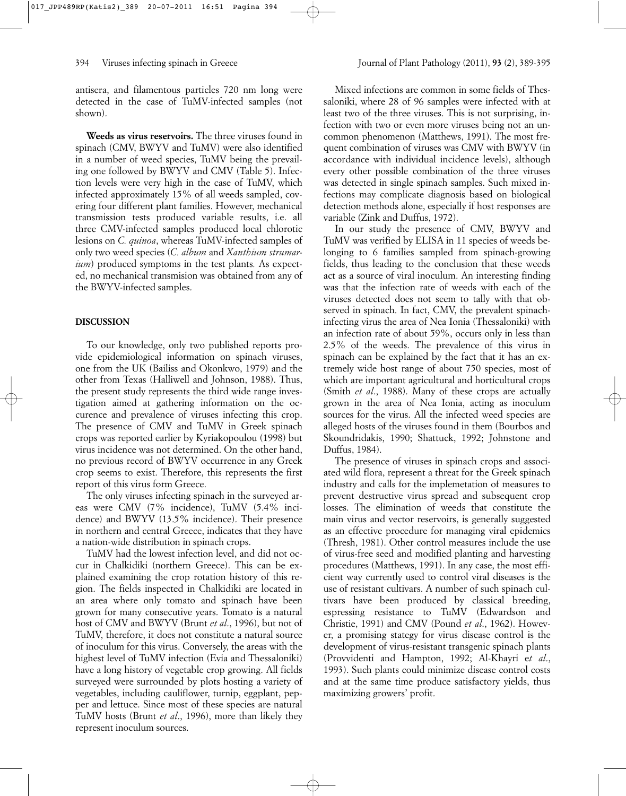antisera, and filamentous particles 720 nm long were detected in the case of TuMV-infected samples (not shown).

**Weeds as virus reservoirs.** The three viruses found in spinach (CMV, BWYV and TuMV) were also identified in a number of weed species, TuMV being the prevailing one followed by BWYV and CMV (Table 5). Infection levels were very high in the case of TuMV, which infected approximately 15% of all weeds sampled, covering four different plant families. However, mechanical transmission tests produced variable results, i.e. all three CMV-infected samples produced local chlorotic lesions on *C. quinoa*, whereas TuMV-infected samples of only two weed species (*C. album* and *Xanthium strumarium*) produced symptoms in the test plants*.* As expected, no mechanical transmision was obtained from any of the BWYV-infected samples.

## **DISCUSSION**

To our knowledge, only two published reports provide epidemiological information on spinach viruses, one from the UK (Bailiss and Okonkwo, 1979) and the other from Texas (Halliwell and Johnson, 1988). Thus, the present study represents the third wide range investigation aimed at gathering information on the occurence and prevalence of viruses infecting this crop. The presence of CMV and TuMV in Greek spinach crops was reported earlier by Kyriakopoulou (1998) but virus incidence was not determined. On the other hand, no previous record of BWYV occurrence in any Greek crop seems to exist. Therefore, this represents the first report of this virus form Greece.

The only viruses infecting spinach in the surveyed areas were CMV (7% incidence), TuMV (5.4% incidence) and BWYV (13.5% incidence). Their presence in northern and central Greece, indicates that they have a nation-wide distribution in spinach crops.

TuMV had the lowest infection level, and did not occur in Chalkidiki (northern Greece). This can be explained examining the crop rotation history of this region. The fields inspected in Chalkidiki are located in an area where only tomato and spinach have been grown for many consecutive years. Tomato is a natural host of CMV and BWYV (Brunt *et al*., 1996), but not of TuMV, therefore, it does not constitute a natural source of inoculum for this virus. Conversely, the areas with the highest level of TuMV infection (Evia and Thessaloniki) have a long history of vegetable crop growing. All fields surveyed were surrounded by plots hosting a variety of vegetables, including cauliflower, turnip, eggplant, pepper and lettuce. Since most of these species are natural TuMV hosts (Brunt *et al*., 1996), more than likely they represent inoculum sources.

Mixed infections are common in some fields of Thessaloniki, where 28 of 96 samples were infected with at least two of the three viruses. This is not surprising, infection with two or even more viruses being not an uncommon phenomenon (Matthews, 1991). The most frequent combination of viruses was CMV with BWYV (in accordance with individual incidence levels), although every other possible combination of the three viruses was detected in single spinach samples. Such mixed infections may complicate diagnosis based on biological detection methods alone, especially if host responses are variable (Zink and Duffus, 1972).

In our study the presence of CMV, BWYV and TuMV was verified by ELISA in 11 species of weeds belonging to 6 families sampled from spinach-growing fields, thus leading to the conclusion that these weeds act as a source of viral inoculum. An interesting finding was that the infection rate of weeds with each of the viruses detected does not seem to tally with that observed in spinach. In fact, CMV, the prevalent spinachinfecting virus the area of Nea Ionia (Thessaloniki) with an infection rate of about 59%, occurs only in less than 2.5% of the weeds. The prevalence of this virus in spinach can be explained by the fact that it has an extremely wide host range of about 750 species, most of which are important agricultural and horticultural crops (Smith *et al*., 1988). Many of these crops are actually grown in the area of Nea Ionia, acting as inoculum sources for the virus. All the infected weed species are alleged hosts of the viruses found in them (Bourbos and Skoundridakis, 1990; Shattuck, 1992; Johnstone and Duffus, 1984).

The presence of viruses in spinach crops and associated wild flora, represent a threat for the Greek spinach industry and calls for the implemetation of measures to prevent destructive virus spread and subsequent crop losses. The elimination of weeds that constitute the main virus and vector reservoirs, is generally suggested as an effective procedure for managing viral epidemics (Thresh, 1981). Other control measures include the use of virus-free seed and modified planting and harvesting procedures (Matthews, 1991). In any case, the most efficient way currently used to control viral diseases is the use of resistant cultivars. A number of such spinach cultivars have been produced by classical breeding, espressing resistance to TuMV (Edwardson and Christie, 1991) and CMV (Pound *et al*., 1962). However, a promising stategy for virus disease control is the development of virus-resistant transgenic spinach plants (Provvidenti and Hampton, 1992; Al-Khayri e*t al*., 1993). Such plants could minimize disease control costs and at the same time produce satisfactory yields, thus maximizing growers' profit.